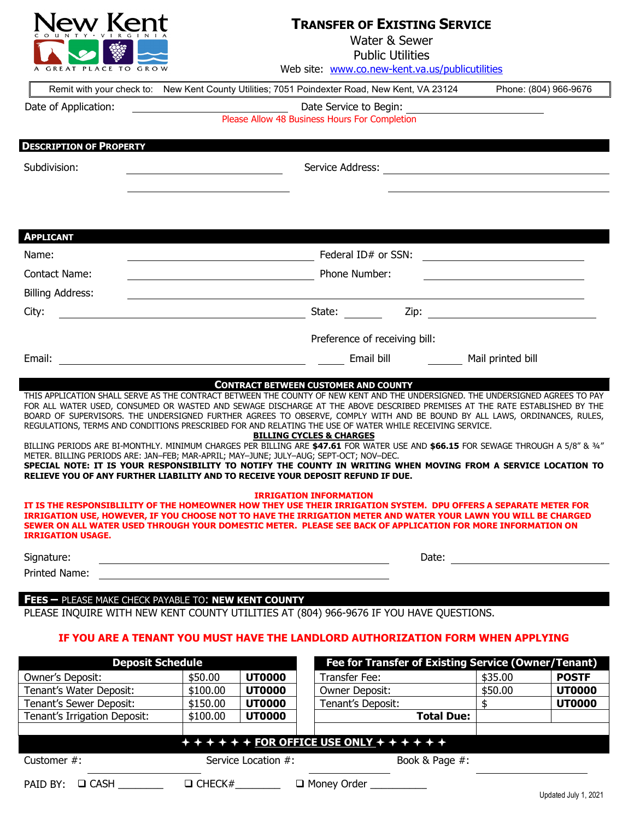

## **TRANSFER OF EXISTING SERVICE**

| C O U N T Y • V I R G I N I A                                                                                                                                                                                                                                                                                                                                                                                                                                                                                                                                                                                                                                                                                                                                                                                                                                                                                                                                                                                                                                             |                      |                                                            |                                                                         | Water & Sewer<br><b>Public Utilities</b> |                                                                                                                                                                                                                               |                       |
|---------------------------------------------------------------------------------------------------------------------------------------------------------------------------------------------------------------------------------------------------------------------------------------------------------------------------------------------------------------------------------------------------------------------------------------------------------------------------------------------------------------------------------------------------------------------------------------------------------------------------------------------------------------------------------------------------------------------------------------------------------------------------------------------------------------------------------------------------------------------------------------------------------------------------------------------------------------------------------------------------------------------------------------------------------------------------|----------------------|------------------------------------------------------------|-------------------------------------------------------------------------|------------------------------------------|-------------------------------------------------------------------------------------------------------------------------------------------------------------------------------------------------------------------------------|-----------------------|
| GREAT PLACE TO GROW                                                                                                                                                                                                                                                                                                                                                                                                                                                                                                                                                                                                                                                                                                                                                                                                                                                                                                                                                                                                                                                       |                      |                                                            | Web site: www.co.new-kent.va.us/publicutilities                         |                                          |                                                                                                                                                                                                                               |                       |
| Remit with your check to: New Kent County Utilities; 7051 Poindexter Road, New Kent, VA 23124                                                                                                                                                                                                                                                                                                                                                                                                                                                                                                                                                                                                                                                                                                                                                                                                                                                                                                                                                                             |                      |                                                            |                                                                         |                                          |                                                                                                                                                                                                                               | Phone: (804) 966-9676 |
| Date of Application:                                                                                                                                                                                                                                                                                                                                                                                                                                                                                                                                                                                                                                                                                                                                                                                                                                                                                                                                                                                                                                                      |                      |                                                            | Date Service to Begin:                                                  |                                          |                                                                                                                                                                                                                               |                       |
|                                                                                                                                                                                                                                                                                                                                                                                                                                                                                                                                                                                                                                                                                                                                                                                                                                                                                                                                                                                                                                                                           |                      |                                                            | Date Service to Begin:<br>Please Allow 48 Business Hours For Completion |                                          |                                                                                                                                                                                                                               |                       |
| <b>DESCRIPTION OF PROPERTY</b>                                                                                                                                                                                                                                                                                                                                                                                                                                                                                                                                                                                                                                                                                                                                                                                                                                                                                                                                                                                                                                            |                      |                                                            |                                                                         |                                          |                                                                                                                                                                                                                               |                       |
| Subdivision:                                                                                                                                                                                                                                                                                                                                                                                                                                                                                                                                                                                                                                                                                                                                                                                                                                                                                                                                                                                                                                                              |                      |                                                            |                                                                         |                                          |                                                                                                                                                                                                                               |                       |
|                                                                                                                                                                                                                                                                                                                                                                                                                                                                                                                                                                                                                                                                                                                                                                                                                                                                                                                                                                                                                                                                           |                      |                                                            |                                                                         |                                          |                                                                                                                                                                                                                               |                       |
| <b>APPLICANT</b>                                                                                                                                                                                                                                                                                                                                                                                                                                                                                                                                                                                                                                                                                                                                                                                                                                                                                                                                                                                                                                                          |                      |                                                            |                                                                         |                                          |                                                                                                                                                                                                                               |                       |
| Name:                                                                                                                                                                                                                                                                                                                                                                                                                                                                                                                                                                                                                                                                                                                                                                                                                                                                                                                                                                                                                                                                     |                      | <u> Alexandria de la contrada de la contrada de la con</u> | Federal ID# or SSN:                                                     |                                          | <u> 1989 - Andrea Andrew Maria (h. 1989).</u>                                                                                                                                                                                 |                       |
| Contact Name:                                                                                                                                                                                                                                                                                                                                                                                                                                                                                                                                                                                                                                                                                                                                                                                                                                                                                                                                                                                                                                                             |                      |                                                            | Phone Number:                                                           |                                          | <u> 1989 - Johann Barn, mars eta bat erroman erroman erroman erroman erroman erroman erroman erroman erroman err</u>                                                                                                          |                       |
| <b>Billing Address:</b>                                                                                                                                                                                                                                                                                                                                                                                                                                                                                                                                                                                                                                                                                                                                                                                                                                                                                                                                                                                                                                                   |                      |                                                            |                                                                         |                                          |                                                                                                                                                                                                                               |                       |
| City:                                                                                                                                                                                                                                                                                                                                                                                                                                                                                                                                                                                                                                                                                                                                                                                                                                                                                                                                                                                                                                                                     |                      |                                                            | State:                                                                  |                                          |                                                                                                                                                                                                                               |                       |
|                                                                                                                                                                                                                                                                                                                                                                                                                                                                                                                                                                                                                                                                                                                                                                                                                                                                                                                                                                                                                                                                           |                      |                                                            |                                                                         |                                          |                                                                                                                                                                                                                               |                       |
|                                                                                                                                                                                                                                                                                                                                                                                                                                                                                                                                                                                                                                                                                                                                                                                                                                                                                                                                                                                                                                                                           |                      |                                                            |                                                                         |                                          |                                                                                                                                                                                                                               |                       |
|                                                                                                                                                                                                                                                                                                                                                                                                                                                                                                                                                                                                                                                                                                                                                                                                                                                                                                                                                                                                                                                                           |                      |                                                            | Preference of receiving bill:                                           |                                          |                                                                                                                                                                                                                               |                       |
| Email:<br>THIS APPLICATION SHALL SERVE AS THE CONTRACT BETWEEN THE COUNTY OF NEW KENT AND THE UNDERSIGNED. THE UNDERSIGNED AGREES TO PAY<br>FOR ALL WATER USED, CONSUMED OR WASTED AND SEWAGE DISCHARGE AT THE ABOVE DESCRIBED PREMISES AT THE RATE ESTABLISHED BY THE                                                                                                                                                                                                                                                                                                                                                                                                                                                                                                                                                                                                                                                                                                                                                                                                    |                      |                                                            | Email bill<br><b>CONTRACT BETWEEN CUSTOMER AND COUNTY</b>               |                                          | Mail printed bill                                                                                                                                                                                                             |                       |
|                                                                                                                                                                                                                                                                                                                                                                                                                                                                                                                                                                                                                                                                                                                                                                                                                                                                                                                                                                                                                                                                           |                      |                                                            | <b>BILLING CYCLES &amp; CHARGES</b><br><b>IRRIGATION INFORMATION</b>    |                                          |                                                                                                                                                                                                                               |                       |
|                                                                                                                                                                                                                                                                                                                                                                                                                                                                                                                                                                                                                                                                                                                                                                                                                                                                                                                                                                                                                                                                           |                      |                                                            |                                                                         |                                          |                                                                                                                                                                                                                               |                       |
| BOARD OF SUPERVISORS. THE UNDERSIGNED FURTHER AGREES TO OBSERVE, COMPLY WITH AND BE BOUND BY ALL LAWS, ORDINANCES, RULES,<br>REGULATIONS, TERMS AND CONDITIONS PRESCRIBED FOR AND RELATING THE USE OF WATER WHILE RECEIVING SERVICE.<br>BILLING PERIODS ARE BI-MONTHLY. MINIMUM CHARGES PER BILLING ARE \$47.61 FOR WATER USE AND \$66.15 FOR SEWAGE THROUGH A 5/8" & 3/4"<br>METER. BILLING PERIODS ARE: JAN-FEB; MAR-APRIL; MAY-JUNE; JULY-AUG; SEPT-OCT; NOV-DEC.<br>SPECIAL NOTE: IT IS YOUR RESPONSIBILITY TO NOTIFY THE COUNTY IN WRITING WHEN MOVING FROM A SERVICE LOCATION TO<br>RELIEVE YOU OF ANY FURTHER LIABILITY AND TO RECEIVE YOUR DEPOSIT REFUND IF DUE.<br>IT IS THE RESPONSIBLILITY OF THE HOMEOWNER HOW THEY USE THEIR IRRIGATION SYSTEM. DPU OFFERS A SEPARATE METER FOR<br>IRRIGATION USE, HOWEVER, IF YOU CHOOSE NOT TO HAVE THE IRRIGATION METER AND WATER YOUR LAWN YOU WILL BE CHARGED<br>SEWER ON ALL WATER USED THROUGH YOUR DOMESTIC METER. PLEASE SEE BACK OF APPLICATION FOR MORE INFORMATION ON<br><b>IRRIGATION USAGE.</b><br>Signature: |                      |                                                            |                                                                         |                                          | Date: and the state of the state of the state of the state of the state of the state of the state of the state of the state of the state of the state of the state of the state of the state of the state of the state of the |                       |
| Printed Name:                                                                                                                                                                                                                                                                                                                                                                                                                                                                                                                                                                                                                                                                                                                                                                                                                                                                                                                                                                                                                                                             |                      |                                                            |                                                                         |                                          |                                                                                                                                                                                                                               |                       |
| FEES - PLEASE MAKE CHECK PAYABLE TO: NEW KENT COUNTY                                                                                                                                                                                                                                                                                                                                                                                                                                                                                                                                                                                                                                                                                                                                                                                                                                                                                                                                                                                                                      |                      |                                                            |                                                                         |                                          |                                                                                                                                                                                                                               |                       |
| PLEASE INQUIRE WITH NEW KENT COUNTY UTILITIES AT (804) 966-9676 IF YOU HAVE QUESTIONS.                                                                                                                                                                                                                                                                                                                                                                                                                                                                                                                                                                                                                                                                                                                                                                                                                                                                                                                                                                                    |                      |                                                            |                                                                         |                                          |                                                                                                                                                                                                                               |                       |
| IF YOU ARE A TENANT YOU MUST HAVE THE LANDLORD AUTHORIZATION FORM WHEN APPLYING                                                                                                                                                                                                                                                                                                                                                                                                                                                                                                                                                                                                                                                                                                                                                                                                                                                                                                                                                                                           |                      |                                                            |                                                                         |                                          |                                                                                                                                                                                                                               |                       |
| <b>Deposit Schedule</b>                                                                                                                                                                                                                                                                                                                                                                                                                                                                                                                                                                                                                                                                                                                                                                                                                                                                                                                                                                                                                                                   |                      |                                                            |                                                                         |                                          | Fee for Transfer of Existing Service (Owner/Tenant)                                                                                                                                                                           |                       |
|                                                                                                                                                                                                                                                                                                                                                                                                                                                                                                                                                                                                                                                                                                                                                                                                                                                                                                                                                                                                                                                                           | \$50.00              | <b>UT0000</b>                                              | Transfer Fee:                                                           |                                          | \$35.00                                                                                                                                                                                                                       | <b>POSTF</b>          |
|                                                                                                                                                                                                                                                                                                                                                                                                                                                                                                                                                                                                                                                                                                                                                                                                                                                                                                                                                                                                                                                                           | \$100.00             | <b>UT0000</b>                                              | Owner Deposit:                                                          |                                          | \$50.00                                                                                                                                                                                                                       | <b>UT0000</b>         |
| Owner's Deposit:<br>Tenant's Water Deposit:<br>Tenant's Sewer Deposit:<br>Tenant's Irrigation Deposit:                                                                                                                                                                                                                                                                                                                                                                                                                                                                                                                                                                                                                                                                                                                                                                                                                                                                                                                                                                    | \$150.00<br>\$100.00 | <b>UT0000</b><br><b>UT0000</b>                             | Tenant's Deposit:                                                       | <b>Total Due:</b>                        | \$                                                                                                                                                                                                                            | <b>UT0000</b>         |

Customer #: Service Location #: Book & Page #:

PAID BY:  $\Box$  CASH  $\Box$   $\Box$  CHECK# $\Box$   $\Box$  Money Order  $\Box$